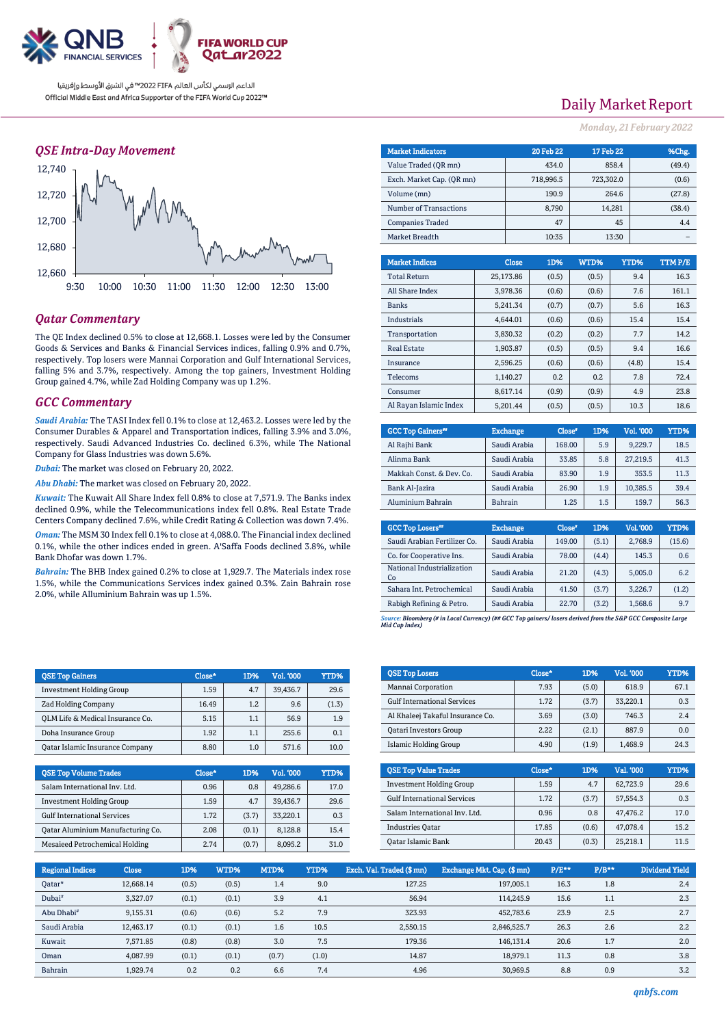

## *QSE Intra-Day Movement*



## *Qatar Commentary*

The QE Index declined 0.5% to close at 12,668.1. Losses were led by the Consumer Goods & Services and Banks & Financial Services indices, falling 0.9% and 0.7%, respectively. Top losers were Mannai Corporation and Gulf International Services, falling 5% and 3.7%, respectively. Among the top gainers, Investment Holding Group gained 4.7%, while Zad Holding Company was up 1.2%.

## *GCC Commentary*

*Saudi Arabia:* The TASI Index fell 0.1% to close at 12,463.2. Losses were led by the Consumer Durables & Apparel and Transportation indices, falling 3.9% and 3.0%, respectively. Saudi Advanced Industries Co. declined 6.3%, while The National Company for Glass Industries was down 5.6%.

*Dubai:* The market was closed on February 20, 2022.

*Abu Dhabi:* The market was closed on February 20, 2022.

*Kuwait:* The Kuwait All Share Index fell 0.8% to close at 7,571.9. The Banks index declined 0.9%, while the Telecommunications index fell 0.8%. Real Estate Trade Centers Company declined 7.6%, while Credit Rating & Collection was down 7.4%.

*Oman:* The MSM 30 Index fell 0.1% to close at 4,088.0. The Financial index declined 0.1%, while the other indices ended in green. A'Saffa Foods declined 3.8%, while Bank Dhofar was down 1.7%.

*Bahrain:* The BHB Index gained 0.2% to close at 1,929.7. The Materials index rose 1.5%, while the Communications Services index gained 0.3%. Zain Bahrain rose 2.0%, while Alluminium Bahrain was up 1.5%.

| <b>OSE Top Gainers</b>                 | Close* | 1D% | Vol. '000 | YTD%  |
|----------------------------------------|--------|-----|-----------|-------|
| Investment Holding Group               | 1.59   | 4.7 | 39,436.7  | 29.6  |
| <b>Zad Holding Company</b>             | 16.49  | 1.2 | 9.6       | (1.3) |
| OLM Life & Medical Insurance Co.       | 5.15   | 1.1 | 56.9      | 1.9   |
| Doha Insurance Group                   | 1.92   | 1.1 | 255.6     | 0.1   |
| <b>Oatar Islamic Insurance Company</b> | 8.80   | 1.0 | 571.6     | 10.0  |
|                                        |        |     |           |       |

| <b>OSE Top Volume Trades</b>          | Close* | 1D%   | Vol. '000 | YTD% |
|---------------------------------------|--------|-------|-----------|------|
| Salam International Inv. Ltd.         | 0.96   | 0.8   | 49.286.6  | 17.0 |
| <b>Investment Holding Group</b>       | 1.59   | 4.7   | 39.436.7  | 29.6 |
| <b>Gulf International Services</b>    | 1.72   | (3.7) | 33.220.1  | 0.3  |
| Oatar Aluminium Manufacturing Co.     | 2.08   | (0.1) | 8.128.8   | 15.4 |
| <b>Mesaieed Petrochemical Holding</b> | 2.74   | (0.7) | 8.095.2   | 31.0 |

# Daily Market Report

*Monday, 21February 2022*

| <b>Market Indicators</b>  |              | <b>20 Feb 22</b> | 17 Feb 22 |        | %Chg.   |  |
|---------------------------|--------------|------------------|-----------|--------|---------|--|
| Value Traded (OR mn)      | 434.0        |                  |           | 858.4  | (49.4)  |  |
| Exch. Market Cap. (QR mn) |              | 718,996.5        | 723,302.0 |        | (0.6)   |  |
| Volume (mn)               |              | 190.9            |           | 264.6  | (27.8)  |  |
| Number of Transactions    |              | 8,790            |           | 14,281 | (38.4)  |  |
| <b>Companies Traded</b>   |              | 47               |           | 45     | 4.4     |  |
| Market Breadth            |              | 10:35            |           | 13:30  |         |  |
|                           |              |                  |           |        |         |  |
| <b>Market Indices</b>     | <b>Close</b> | 1D%              | WTD%      | YTD%   | TTM P/E |  |
| <b>Total Return</b>       | 25,173.86    | (0.5)            | (0.5)     | 9.4    | 16.3    |  |
| All Share Index           | 3,978.36     | (0.6)            | (0.6)     | 7.6    | 161.1   |  |
| <b>Banks</b>              | 5,241.34     | (0.7)            | (0.7)     | 5.6    | 16.3    |  |
| <b>Industrials</b>        | 4,644.01     | (0.6)            | (0.6)     | 15.4   | 15.4    |  |
| Transportation            | 3,830.32     | (0.2)            | (0.2)     | 7.7    | 14.2    |  |
| <b>Real Estate</b>        | 1.903.87     | (0.5)            | (0.5)     | 9.4    | 16.6    |  |
| Insurance                 | 2,596.25     | (0.6)            | (0.6)     | (4.8)  | 15.4    |  |
| Telecoms                  | 1,140.27     | 0.2              | 0.2       | 7.8    | 72.4    |  |
| Consumer                  | 8,617.14     | (0.9)            | (0.9)     | 4.9    | 23.8    |  |
| Al Rayan Islamic Index    | 5,201.44     | (0.5)            | (0.5)     | 10.3   | 18.6    |  |

| <b>GCC Top Gainers"</b>  | <b>Exchange</b> | Close* | 1D% | Vol. '000 | YTD% |
|--------------------------|-----------------|--------|-----|-----------|------|
| Al Rajhi Bank            | Saudi Arabia    | 168.00 | 5.9 | 9.229.7   | 18.5 |
| Alinma Bank              | Saudi Arabia    | 33.85  | 5.8 | 27.219.5  | 41.3 |
| Makkah Const. & Dev. Co. | Saudi Arabia    | 83.90  | 1.9 | 353.5     | 11.3 |
| Bank Al-Jazira           | Saudi Arabia    | 26.90  | 1.9 | 10.385.5  | 39.4 |
| Aluminium Bahrain        | <b>Bahrain</b>  | 1.25   | 1.5 | 159.7     | 56.3 |

| <b>GCC Top Losers</b> "          | <b>Exchange</b> | Close <sup>®</sup> | 1D%   | Vol. '000 | YTD%   |
|----------------------------------|-----------------|--------------------|-------|-----------|--------|
| Saudi Arabian Fertilizer Co.     | Saudi Arabia    | 149.00             | (5.1) | 2,768.9   | (15.6) |
| Co. for Cooperative Ins.         | Saudi Arabia    | 78.00              | (4.4) | 145.3     | 0.6    |
| National Industrialization<br>Co | Saudi Arabia    | 21.20              | (4.3) | 5,005.0   | 6.2    |
| Sahara Int. Petrochemical        | Saudi Arabia    | 41.50              | (3.7) | 3,226.7   | (1.2)  |
| Rabigh Refining & Petro.         | Saudi Arabia    | 22.70              | (3.2) | 1,568.6   | 9.7    |

*Source: Bloomberg (# in Local Currency) (## GCC Top gainers/ losers derived from the S&P GCC Composite Large Mid Cap Index)*

| <b>OSE Top Losers</b>              | Close* | 1D%   | <b>Vol. '000</b> | YTD% |
|------------------------------------|--------|-------|------------------|------|
| Mannai Corporation                 | 7.93   | (5.0) | 618.9            | 67.1 |
| <b>Gulf International Services</b> | 1.72   | (3.7) | 33.220.1         | 0.3  |
| Al Khaleej Takaful Insurance Co.   | 3.69   | (3.0) | 746.3            | 2.4  |
| <b>Qatari Investors Group</b>      | 2.22   | (2.1) | 887.9            | 0.0  |
| <b>Islamic Holding Group</b>       | 4.90   | (1.9) | 1.468.9          | 24.3 |

| <b>OSE Top Value Trades</b>        | Close* | 1D%   | Val. '000 | YTD% |
|------------------------------------|--------|-------|-----------|------|
| <b>Investment Holding Group</b>    | 1.59   | 4.7   | 62.723.9  | 29.6 |
| <b>Gulf International Services</b> | 1.72   | (3.7) | 57,554.3  | 0.3  |
| Salam International Inv. Ltd.      | 0.96   | 0.8   | 47.476.2  | 17.0 |
| <b>Industries Oatar</b>            | 17.85  | (0.6) | 47.078.4  | 15.2 |
| Oatar Islamic Bank                 | 20.43  | (0.3) | 25.218.1  | 11.5 |

| <b>Regional Indices</b> | <b>Close</b> | 1D%   | WTD%  | MTD%  | YTD%  | Exch. Val. Traded (\$mn) | Exchange Mkt. Cap. (\$ mn) | $P/E***$ | $P/B**$ | <b>Dividend Yield</b> |
|-------------------------|--------------|-------|-------|-------|-------|--------------------------|----------------------------|----------|---------|-----------------------|
| Qatar*                  | 12,668.14    | (0.5) | (0.5) | 1.4   | 9.0   | 127.25                   | 197,005.1                  | 16.3     | 1.8     | 2.4                   |
| Dubai <sup>#</sup>      | 3.327.07     | (0.1) | (0.1) | 3.9   | 4.1   | 56.94                    | 114.245.9                  | 15.6     | 1.1     | 2.3                   |
| Abu Dhabi <sup>#</sup>  | 9,155.31     | (0.6) | (0.6) | 5.2   | 7.9   | 323.93                   | 452.783.6                  | 23.9     | 2.5     | 2.7                   |
| Saudi Arabia            | 12.463.17    | (0.1) | (0.1) | 1.6   | 10.5  | 2,550.15                 | 2.846.525.7                | 26.3     | 2.6     | 2.2                   |
| Kuwait                  | 7,571.85     | (0.8) | (0.8) | 3.0   | 7.5   | 179.36                   | 146,131.4                  | 20.6     | 1.7     | 2.0                   |
| Oman                    | 4.087.99     | (0.1) | (0.1) | (0.7) | (1.0) | 14.87                    | 18.979.1                   | 11.3     | 0.8     | 3.8                   |
| Bahrain                 | 1.929.74     | 0.2   | 0.2   | 6.6   | 7.4   | 4.96                     | 30.969.5                   | 8.8      | 0.9     | 3.2                   |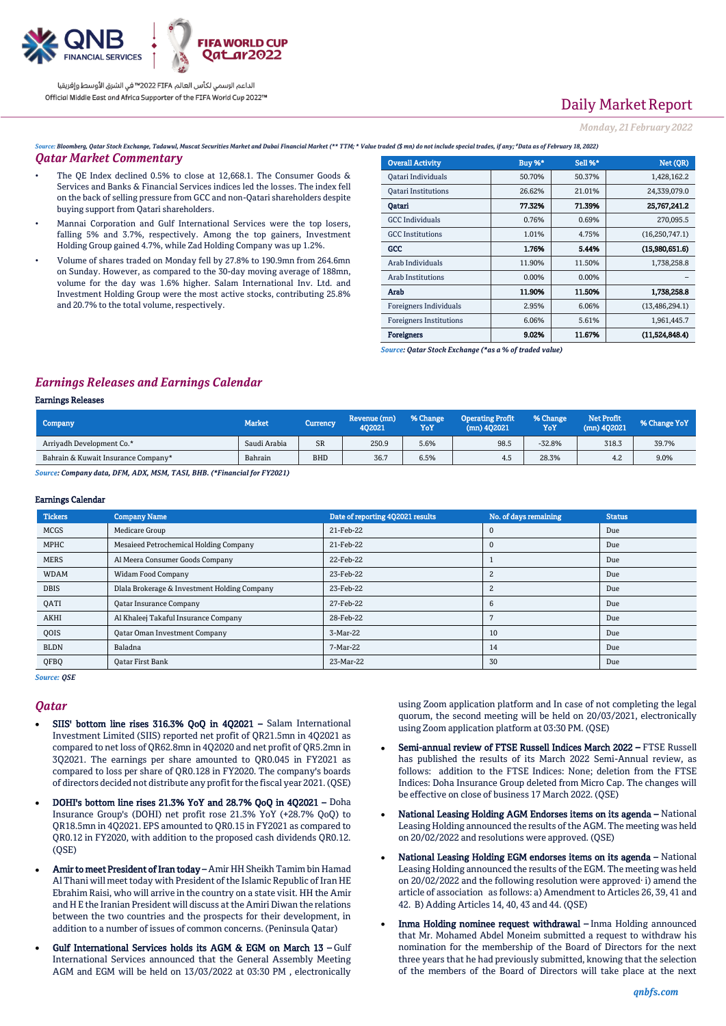

# Daily Market Report

### *Monday, 21February 2022*

Source: Bloomberg, Qatar Stock Exchange, Tadawul, Muscat Securities Market and Dubai Financial Market (\*\* TTM; \* Value traded (\$ mn) do not include special trades, if any; "Data as of February 18

#### *Qatar Market Commentary*

- The QE Index declined 0.5% to close at 12,668.1. The Consumer Goods & Services and Banks & Financial Services indices led the losses. The index fell on the back of selling pressure from GCC and non-Qatari shareholders despite buying support from Qatari shareholders.
- Mannai Corporation and Gulf International Services were the top losers, falling 5% and 3.7%, respectively. Among the top gainers, Investment Holding Group gained 4.7%, while Zad Holding Company was up 1.2%.
- Volume of shares traded on Monday fell by 27.8% to 190.9mn from 264.6mn on Sunday. However, as compared to the 30-day moving average of 188mn, volume for the day was 1.6% higher. Salam International Inv. Ltd. and Investment Holding Group were the most active stocks, contributing 25.8% and 20.7% to the total volume, respectively.

| aaea (5 mm) ao nol mchaile special trades, y any, "Duta as of February 16, 2022) |               |         |                  |  |  |  |  |  |  |
|----------------------------------------------------------------------------------|---------------|---------|------------------|--|--|--|--|--|--|
| <b>Overall Activity</b>                                                          | <b>Buy %*</b> | Sell %* | Net (QR)         |  |  |  |  |  |  |
| Qatari Individuals                                                               | 50.70%        | 50.37%  | 1,428,162.2      |  |  |  |  |  |  |
| <b>Oatari Institutions</b>                                                       | 26.62%        | 21.01%  | 24,339,079.0     |  |  |  |  |  |  |
| Qatari                                                                           | 77.32%        | 71.39%  | 25,767,241.2     |  |  |  |  |  |  |
| <b>GCC</b> Individuals                                                           | 0.76%         | 0.69%   | 270,095.5        |  |  |  |  |  |  |
| <b>GCC</b> Institutions                                                          | 1.01%         | 4.75%   | (16, 250, 747.1) |  |  |  |  |  |  |
| GCC                                                                              | 1.76%         | 5.44%   | (15,980,651.6)   |  |  |  |  |  |  |
| Arab Individuals                                                                 | 11.90%        | 11.50%  | 1,738,258.8      |  |  |  |  |  |  |
| Arab Institutions                                                                | 0.00%         | 0.00%   |                  |  |  |  |  |  |  |
| Arab                                                                             | 11.90%        | 11.50%  | 1,738,258.8      |  |  |  |  |  |  |
| <b>Foreigners Individuals</b>                                                    | 2.95%         | 6.06%   | (13, 486, 294.1) |  |  |  |  |  |  |
| <b>Foreigners Institutions</b>                                                   | 6.06%         | 5.61%   | 1,961,445.7      |  |  |  |  |  |  |
| <b>Foreigners</b>                                                                | 9.02%         | 11.67%  | (11.524.848.4)   |  |  |  |  |  |  |

*Source: Qatar Stock Exchange (\*as a % of traded value)*

## *Earnings Releases and Earnings Calendar*

### Earnings Releases

| Company                             | <b>Market</b> | <b>Currency</b> | Revenue (mn)<br>402021 | % Change<br>YoY | <b>Operating Profit</b><br>$(mn)$ 402021 | % Change<br>YoY | Net Profit<br>$(mn)$ 402021 | % Change YoY |
|-------------------------------------|---------------|-----------------|------------------------|-----------------|------------------------------------------|-----------------|-----------------------------|--------------|
| Arrivadh Development Co.*           | Saudi Arabia  | <b>SR</b>       | 250.9                  | 5.6%            | 98.5                                     | $-32.8%$        | 318.3                       | 39.7%        |
| Bahrain & Kuwait Insurance Company* | Bahrain       | <b>BHD</b>      | 36.7                   | 6.5%            | 4.5                                      | 28.3%           | 4.2                         | 9.0%         |

*Source: Company data, DFM, ADX, MSM, TASI, BHB. (\*Financial for FY2021)*

### Earnings Calendar

| <b>Tickers</b> | <b>Company Name</b>                          | Date of reporting 4Q2021 results | No. of days remaining | <b>Status</b> |
|----------------|----------------------------------------------|----------------------------------|-----------------------|---------------|
| <b>MCGS</b>    | <b>Medicare Group</b>                        | 21-Feb-22                        |                       | Due           |
| MPHC           | Mesaieed Petrochemical Holding Company       | 21-Feb-22                        |                       | Due           |
| <b>MERS</b>    | Al Meera Consumer Goods Company              | 22-Feb-22                        |                       | Due           |
| <b>WDAM</b>    | <b>Widam Food Company</b>                    | 23-Feb-22                        |                       | Due           |
| <b>DBIS</b>    | Dlala Brokerage & Investment Holding Company | 23-Feb-22                        |                       | Due           |
| QATI           | <b>Qatar Insurance Company</b>               | 27-Feb-22                        | h                     | Due           |
| AKHI           | Al Khaleej Takaful Insurance Company         | 28-Feb-22                        |                       | Due           |
| QOIS           | <b>Qatar Oman Investment Company</b>         | 3-Mar-22                         | 10                    | Due           |
| <b>BLDN</b>    | Baladna                                      | 7-Mar-22                         | 14                    | Due           |
| <b>OFBO</b>    | <b>Oatar First Bank</b>                      | 23-Mar-22                        | 30                    | Due           |

*Source: QSE*

#### *Qatar*

- SIIS' bottom line rises 316.3% QoQ in 4Q2021 Salam International Investment Limited (SIIS) reported net profit of QR21.5mn in 4Q2021 as compared to net loss of QR62.8mn in 4Q2020 and net profit of QR5.2mn in 3Q2021. The earnings per share amounted to QR0.045 in FY2021 as compared to loss per share of QR0.128 in FY2020. The company's boards of directors decided not distribute any profit for the fiscal year 2021. (QSE)
- DOHI's bottom line rises 21.3% YoY and 28.7% QoQ in 4Q2021 Doha Insurance Group's (DOHI) net profit rose 21.3% YoY (+28.7% QoQ) to QR18.5mn in 4Q2021. EPS amounted to QR0.15 in FY2021 as compared to QR0.12 in FY2020, with addition to the proposed cash dividends QR0.12.  $(OSE)$
- Amir to meet President of Iran today Amir HH Sheikh Tamim bin Hamad Al Thani will meet today with President of the Islamic Republic of Iran HE Ebrahim Raisi, who will arrive in the country on a state visit. HH the Amir and H E the Iranian President will discuss at the Amiri Diwan the relations between the two countries and the prospects for their development, in addition to a number of issues of common concerns. (Peninsula Qatar)
- Gulf International Services holds its AGM & EGM on March 13 Gulf International Services announced that the General Assembly Meeting AGM and EGM will be held on 13/03/2022 at 03:30 PM , electronically

using Zoom application platform and In case of not completing the legal quorum, the second meeting will be held on 20/03/2021, electronically using Zoom application platform at 03:30 PM. (QSE)

- Semi-annual review of FTSE Russell Indices March 2022 FTSE Russell has published the results of its March 2022 Semi-Annual review, as follows: addition to the FTSE Indices: None; deletion from the FTSE Indices: Doha Insurance Group deleted from Micro Cap. The changes will be effective on close of business 17 March 2022. (QSE)
- National Leasing Holding AGM Endorses items on its agenda National Leasing Holding announced the results of the AGM. The meeting was held on 20/02/2022 and resolutions were approved. (QSE)
- National Leasing Holding EGM endorses items on its agenda National Leasing Holding announced the results of the EGM. The meeting was held on 20/02/2022 and the following resolution were approved· i) amend the article of association as follows: a) Amendment to Articles 26, 39, 41 and 42. B) Adding Articles 14, 40, 43 and 44. (QSE)
- Inma Holding nominee request withdrawal Inma Holding announced that Mr. Mohamed Abdel Moneim submitted a request to withdraw his nomination for the membership of the Board of Directors for the next three years that he had previously submitted, knowing that the selection of the members of the Board of Directors will take place at the next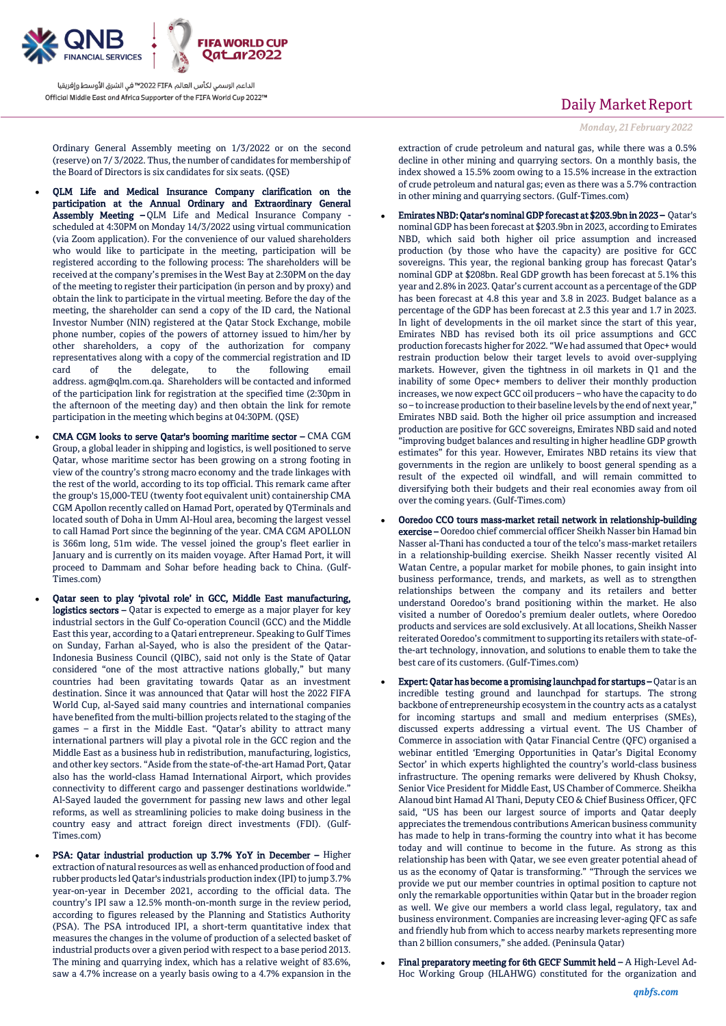

Ordinary General Assembly meeting on 1/3/2022 or on the second (reserve) on 7/ 3/2022. Thus, the number of candidates for membership of the Board of Directors is six candidates for six seats. (QSE)

- QLM Life and Medical Insurance Company clarification on the participation at the Annual Ordinary and Extraordinary General Assembly Meeting – QLM Life and Medical Insurance Company scheduled at 4:30PM on Monday 14/3/2022 using virtual communication (via Zoom application). For the convenience of our valued shareholders who would like to participate in the meeting, participation will be registered according to the following process: The shareholders will be received at the company's premises in the West Bay at 2:30PM on the day of the meeting to register their participation (in person and by proxy) and obtain the link to participate in the virtual meeting. Before the day of the meeting, the shareholder can send a copy of the ID card, the National Investor Number (NIN) registered at the Qatar Stock Exchange, mobile phone number, copies of the powers of attorney issued to him/her by other shareholders, a copy of the authorization for company representatives along with a copy of the commercial registration and ID card of the delegate, to the following email card of the delegate, to the following email address. [agm@qlm.com.qa.](mailto:agm@qlm.com.qa) Shareholders will be contacted and informed of the participation link for registration at the specified time (2:30pm in the afternoon of the meeting day) and then obtain the link for remote participation in the meeting which begins at 04:30PM. (QSE)
- CMA CGM looks to serve Qatar's booming maritime sector CMA CGM Group, a global leader in shipping and logistics, is well positioned to serve Qatar, whose maritime sector has been growing on a strong footing in view of the country's strong macro economy and the trade linkages with the rest of the world, according to its top official. This remark came after the group's 15,000-TEU (twenty foot equivalent unit) containership CMA CGM Apollon recently called on Hamad Port, operated by QTerminals and located south of Doha in Umm Al-Houl area, becoming the largest vessel to call Hamad Port since the beginning of the year. CMA CGM APOLLON is 366m long, 51m wide. The vessel joined the group's fleet earlier in January and is currently on its maiden voyage. After Hamad Port, it will proceed to Dammam and Sohar before heading back to China. (Gulf-Times.com)
- Qatar seen to play 'pivotal role' in GCC, Middle East manufacturing, logistics sectors – Qatar is expected to emerge as a major player for key industrial sectors in the Gulf Co-operation Council (GCC) and the Middle East this year, according to a Qatari entrepreneur. Speaking to Gulf Times on Sunday, Farhan al-Sayed, who is also the president of the Qatar-Indonesia Business Council (QIBC), said not only is the State of Qatar considered "one of the most attractive nations globally," but many countries had been gravitating towards Qatar as an investment destination. Since it was announced that Qatar will host the 2022 FIFA World Cup, al-Sayed said many countries and international companies have benefited from the multi-billion projects related to the staging of the games – a first in the Middle East. "Qatar's ability to attract many international partners will play a pivotal role in the GCC region and the Middle East as a business hub in redistribution, manufacturing, logistics, and other key sectors. "Aside from the state-of-the-art Hamad Port, Qatar also has the world-class Hamad International Airport, which provides connectivity to different cargo and passenger destinations worldwide." Al-Sayed lauded the government for passing new laws and other legal reforms, as well as streamlining policies to make doing business in the country easy and attract foreign direct investments (FDI). (Gulf-Times.com)
- PSA: Qatar industrial production up 3.7% YoY in December Higher extraction of natural resources as well as enhanced production of food and rubber products led Qatar's industrials production index (IPI) to jump 3.7% year-on-year in December 2021, according to the official data. The country's IPI saw a 12.5% month-on-month surge in the review period, according to figures released by the Planning and Statistics Authority (PSA). The PSA introduced IPI, a short-term quantitative index that measures the changes in the volume of production of a selected basket of industrial products over a given period with respect to a base period 2013. The mining and quarrying index, which has a relative weight of 83.6%, saw a 4.7% increase on a yearly basis owing to a 4.7% expansion in the

## Daily Market Report

*Monday, 21February 2022*

extraction of crude petroleum and natural gas, while there was a 0.5% decline in other mining and quarrying sectors. On a monthly basis, the index showed a 15.5% zoom owing to a 15.5% increase in the extraction of crude petroleum and natural gas; even as there was a 5.7% contraction in other mining and quarrying sectors. (Gulf-Times.com)

- Emirates NBD: Qatar's nominal GDP forecast at \$203.9bn in 2023 Qatar's nominal GDP has been forecast at \$203.9bn in 2023, according to Emirates NBD, which said both higher oil price assumption and increased production (by those who have the capacity) are positive for GCC sovereigns. This year, the regional banking group has forecast Qatar's nominal GDP at \$208bn. Real GDP growth has been forecast at 5.1% this year and 2.8% in 2023. Qatar's current account as a percentage of the GDP has been forecast at 4.8 this year and 3.8 in 2023. Budget balance as a percentage of the GDP has been forecast at 2.3 this year and 1.7 in 2023. In light of developments in the oil market since the start of this year, Emirates NBD has revised both its oil price assumptions and GCC production forecasts higher for 2022. "We had assumed that Opec+ would restrain production below their target levels to avoid over-supplying markets. However, given the tightness in oil markets in Q1 and the inability of some Opec+ members to deliver their monthly production increases, we now expect GCC oil producers – who have the capacity to do so – to increase production to their baseline levels by the end of next year," Emirates NBD said. Both the higher oil price assumption and increased production are positive for GCC sovereigns, Emirates NBD said and noted "improving budget balances and resulting in higher headline GDP growth estimates" for this year. However, Emirates NBD retains its view that governments in the region are unlikely to boost general spending as a result of the expected oil windfall, and will remain committed to diversifying both their budgets and their real economies away from oil over the coming years. (Gulf-Times.com)
- Ooredoo CCO tours mass-market retail network in relationship-building exercise – Ooredoo chief commercial officer Sheikh Nasser bin Hamad bin Nasser al-Thani has conducted a tour of the telco's mass-market retailers in a relationship-building exercise. Sheikh Nasser recently visited Al Watan Centre, a popular market for mobile phones, to gain insight into business performance, trends, and markets, as well as to strengthen relationships between the company and its retailers and better understand Ooredoo's brand positioning within the market. He also visited a number of Ooredoo's premium dealer outlets, where Ooredoo products and services are sold exclusively. At all locations, Sheikh Nasser reiterated Ooredoo's commitment to supporting its retailers with state-ofthe-art technology, innovation, and solutions to enable them to take the best care of its customers. (Gulf-Times.com)
- Expert: Qatar has become a promising launchpad for startups Qatar is an incredible testing ground and launchpad for startups. The strong backbone of entrepreneurship ecosystem in the country acts as a catalyst for incoming startups and small and medium enterprises (SMEs), discussed experts addressing a virtual event. The US Chamber of Commerce in association with Qatar Financial Centre (QFC) organised a webinar entitled 'Emerging Opportunities in Qatar's Digital Economy Sector' in which experts highlighted the country's world-class business infrastructure. The opening remarks were delivered by Khush Choksy, Senior Vice President for Middle East, US Chamber of Commerce. Sheikha Alanoud bint Hamad Al Thani, Deputy CEO & Chief Business Officer, QFC said, "US has been our largest source of imports and Qatar deeply appreciates the tremendous contributions American business community has made to help in trans-forming the country into what it has become today and will continue to become in the future. As strong as this relationship has been with Qatar, we see even greater potential ahead of us as the economy of Qatar is transforming." "Through the services we provide we put our member countries in optimal position to capture not only the remarkable opportunities within Qatar but in the broader region as well. We give our members a world class legal, regulatory, tax and business environment. Companies are increasing lever-aging QFC as safe and friendly hub from which to access nearby markets representing more than 2 billion consumers," she added. (Peninsula Qatar)
- Final preparatory meeting for 6th GECF Summit held A High-Level Ad-Hoc Working Group (HLAHWG) constituted for the organization and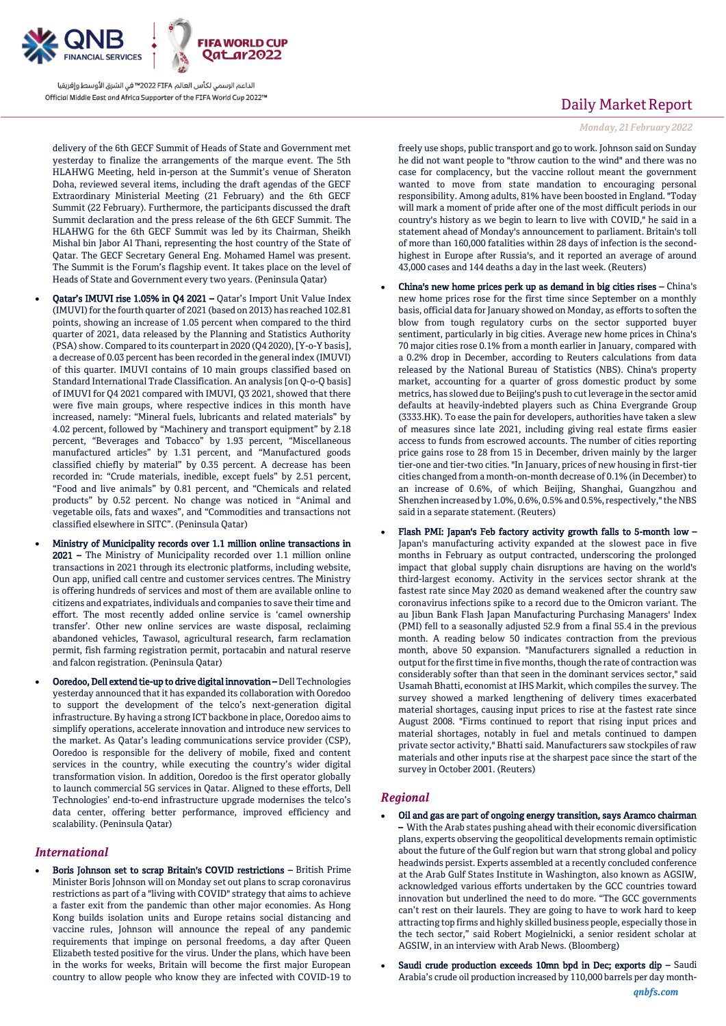

delivery of the 6th GECF Summit of Heads of State and Government met yesterday to finalize the arrangements of the marque event. The 5th HLAHWG Meeting, held in-person at the Summit's venue of Sheraton Doha, reviewed several items, including the draft agendas of the GECF Extraordinary Ministerial Meeting (21 February) and the 6th GECF Summit (22 February). Furthermore, the participants discussed the draft Summit declaration and the press release of the 6th GECF Summit. The HLAHWG for the 6th GECF Summit was led by its Chairman, Sheikh Mishal bin Jabor Al Thani, representing the host country of the State of Qatar. The GECF Secretary General Eng. Mohamed Hamel was present. The Summit is the Forum's flagship event. It takes place on the level of Heads of State and Government every two years. (Peninsula Qatar)

- Qatar's IMUVI rise 1.05% in Q4 2021 Qatar's Import Unit Value Index (IMUVI) for the fourth quarter of 2021 (based on 2013) has reached 102.81 points, showing an increase of 1.05 percent when compared to the third quarter of 2021, data released by the Planning and Statistics Authority (PSA) show. Compared to its counterpart in 2020 (Q4 2020), [Y-o-Y basis], a decrease of 0.03 percent has been recorded in the general index (IMUVI) of this quarter. IMUVI contains of 10 main groups classified based on Standard International Trade Classification. An analysis [on Q-o-Q basis] of IMUVI for Q4 2021 compared with IMUVI, Q3 2021, showed that there were five main groups, where respective indices in this month have increased, namely: "Mineral fuels, lubricants and related materials" by 4.02 percent, followed by "Machinery and transport equipment" by 2.18 percent, "Beverages and Tobacco" by 1.93 percent, "Miscellaneous manufactured articles" by 1.31 percent, and "Manufactured goods classified chiefly by material" by 0.35 percent. A decrease has been recorded in: "Crude materials, inedible, except fuels" by 2.51 percent, "Food and live animals" by 0.81 percent, and "Chemicals and related products" by 0.52 percent. No change was noticed in "Animal and vegetable oils, fats and waxes", and "Commodities and transactions not classified elsewhere in SITC". (Peninsula Qatar)
- Ministry of Municipality records over 1.1 million online transactions in 2021 – The Ministry of Municipality recorded over 1.1 million online transactions in 2021 through its electronic platforms, including website, Oun app, unified call centre and customer services centres. The Ministry is offering hundreds of services and most of them are available online to citizens and expatriates, individuals and companies to save their time and effort. The most recently added online service is 'camel ownership transfer'. Other new online services are waste disposal, reclaiming abandoned vehicles, Tawasol, agricultural research, farm reclamation permit, fish farming registration permit, portacabin and natural reserve and falcon registration. (Peninsula Qatar)
- Ooredoo, Dell extend tie-up to drive digital innovation Dell Technologies yesterday announced that it has expanded its collaboration with Ooredoo to support the development of the telco's next-generation digital infrastructure. By having a strong ICT backbone in place, Ooredoo aims to simplify operations, accelerate innovation and introduce new services to the market. As Qatar's leading communications service provider (CSP), Ooredoo is responsible for the delivery of mobile, fixed and content services in the country, while executing the country's wider digital transformation vision. In addition, Ooredoo is the first operator globally to launch commercial 5G services in Qatar. Aligned to these efforts, Dell Technologies' end-to-end infrastructure upgrade modernises the telco's data center, offering better performance, improved efficiency and scalability. (Peninsula Qatar)

## *International*

 Boris Johnson set to scrap Britain's COVID restrictions – British Prime Minister Boris Johnson will on Monday set out plans to scrap coronavirus restrictions as part of a "living with COVID" strategy that aims to achieve a faster exit from the pandemic than other major economies. As Hong Kong builds isolation units and Europe retains social distancing and vaccine rules, Johnson will announce the repeal of any pandemic requirements that impinge on personal freedoms, a day after Queen Elizabeth tested positive for the virus. Under the plans, which have been in the works for weeks, Britain will become the first major European country to allow people who know they are infected with COVID-19 to

## Daily Market Report

### *Monday, 21February 2022*

freely use shops, public transport and go to work. Johnson said on Sunday he did not want people to "throw caution to the wind" and there was no case for complacency, but the vaccine rollout meant the government wanted to move from state mandation to encouraging personal responsibility. Among adults, 81% have been boosted in England. "Today will mark a moment of pride after one of the most difficult periods in our country's history as we begin to learn to live with COVID," he said in a statement ahead of Monday's announcement to parliament. Britain's toll of more than 160,000 fatalities within 28 days of infection is the secondhighest in Europe after Russia's, and it reported an average of around 43,000 cases and 144 deaths a day in the last week. (Reuters)

- China's new home prices perk up as demand in big cities rises China's new home prices rose for the first time since September on a monthly basis, official data for January showed on Monday, as efforts to soften the blow from tough regulatory curbs on the sector supported buyer sentiment, particularly in big cities. Average new home prices in China's 70 major cities rose 0.1% from a month earlier in January, compared with a 0.2% drop in December, according to Reuters calculations from data released by the National Bureau of Statistics (NBS). China's property market, accounting for a quarter of gross domestic product by some metrics, has slowed due to Beijing's push to cut leverage in the sector amid defaults at heavily-indebted players such as China Evergrande Group (3333.HK). To ease the pain for developers, authorities have taken a slew of measures since late 2021, including giving real estate firms easier access to funds from escrowed accounts. The number of cities reporting price gains rose to 28 from 15 in December, driven mainly by the larger tier-one and tier-two cities. "In January, prices of new housing in first-tier cities changed from a month-on-month decrease of 0.1% (in December) to an increase of 0.6%, of which Beijing, Shanghai, Guangzhou and Shenzhen increased by 1.0%, 0.6%, 0.5% and 0.5%, respectively," the NBS said in a separate statement. (Reuters)
- Flash PMI: Japan's Feb factory activity growth falls to 5-month low Japan's manufacturing activity expanded at the slowest pace in five months in February as output contracted, underscoring the prolonged impact that global supply chain disruptions are having on the world's third-largest economy. Activity in the services sector shrank at the fastest rate since May 2020 as demand weakened after the country saw coronavirus infections spike to a record due to the Omicron variant. The au Jibun Bank Flash Japan Manufacturing Purchasing Managers' Index (PMI) fell to a seasonally adjusted 52.9 from a final 55.4 in the previous month. A reading below 50 indicates contraction from the previous month, above 50 expansion. "Manufacturers signalled a reduction in output for the first time in five months, though the rate of contraction was considerably softer than that seen in the dominant services sector," said Usamah Bhatti, economist at IHS Markit, which compiles the survey. The survey showed a marked lengthening of delivery times exacerbated material shortages, causing input prices to rise at the fastest rate since August 2008. "Firms continued to report that rising input prices and material shortages, notably in fuel and metals continued to dampen private sector activity," Bhatti said. Manufacturers saw stockpiles of raw materials and other inputs rise at the sharpest pace since the start of the survey in October 2001. (Reuters)

## *Regional*

- Oil and gas are part of ongoing energy transition, says Aramco chairman – With the Arab states pushing ahead with their economic diversification plans, experts observing the geopolitical developments remain optimistic about the future of the Gulf region but warn that strong global and policy headwinds persist. Experts assembled at a recently concluded conference at the Arab Gulf States Institute in Washington, also known as AGSIW, acknowledged various efforts undertaken by the GCC countries toward innovation but underlined the need to do more. "The GCC governments can't rest on their laurels. They are going to have to work hard to keep attracting top firms and highly skilled business people, especially those in the tech sector," said Robert Mogielnicki, a senior resident scholar at AGSIW, in an interview with Arab News. (Bloomberg)
- Saudi crude production exceeds 10mn bpd in Dec; exports dip Saudi Arabia's crude oil production increased by 110,000 barrels per day month-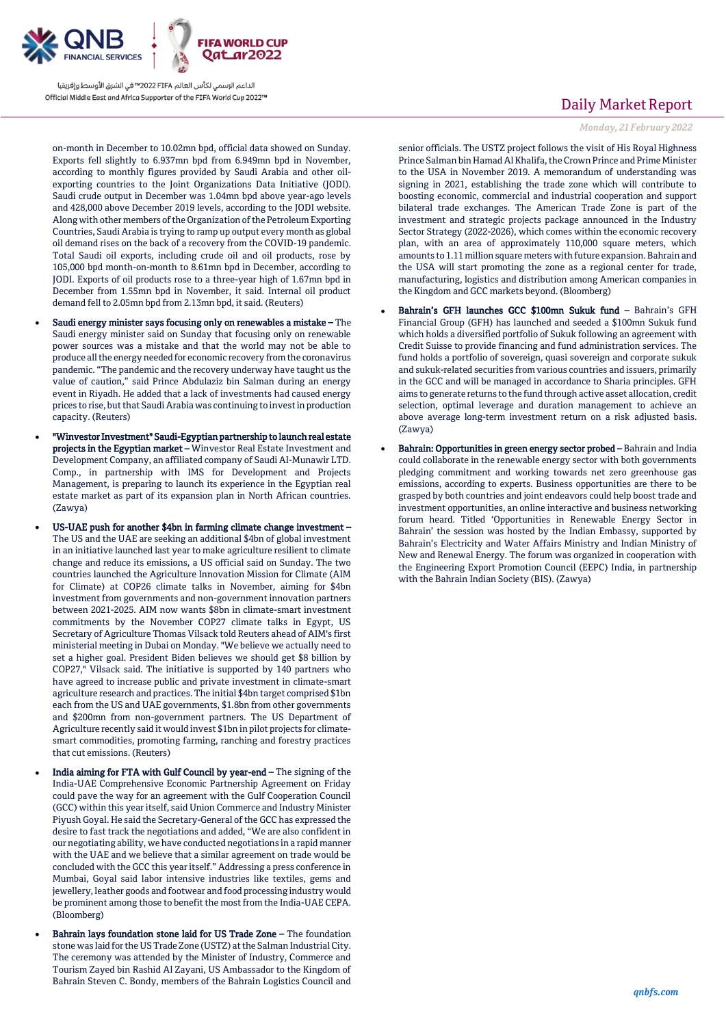

on-month in December to 10.02mn bpd, official data showed on Sunday. Exports fell slightly to 6.937mn bpd from 6.949mn bpd in November, according to monthly figures provided by Saudi Arabia and other oilexporting countries to the Joint Organizations Data Initiative (JODI). Saudi crude output in December was 1.04mn bpd above year-ago levels and 428,000 above December 2019 levels, according to the JODI website. Along with other members of the Organization of the Petroleum Exporting Countries, Saudi Arabia is trying to ramp up output every month as global oil demand rises on the back of a recovery from the COVID-19 pandemic. Total Saudi oil exports, including crude oil and oil products, rose by 105,000 bpd month-on-month to 8.61mn bpd in December, according to JODI. Exports of oil products rose to a three-year high of 1.67mn bpd in December from 1.55mn bpd in November, it said. Internal oil product demand fell to 2.05mn bpd from 2.13mn bpd, it said. (Reuters)

- Saudi energy minister says focusing only on renewables a mistake The Saudi energy minister said on Sunday that focusing only on renewable power sources was a mistake and that the world may not be able to produce all the energy needed for economic recovery from the coronavirus pandemic. "The pandemic and the recovery underway have taught us the value of caution," said Prince Abdulaziz bin Salman during an energy event in Riyadh. He added that a lack of investments had caused energy prices to rise, but that Saudi Arabia was continuing to invest in production capacity. (Reuters)
- "Winvestor Investment" Saudi-Egyptian partnership to launch real estate projects in the Egyptian market – Winvestor Real Estate Investment and Development Company, an affiliated company of Saudi Al-Munawir LTD. Comp., in partnership with IMS for Development and Projects Management, is preparing to launch its experience in the Egyptian real estate market as part of its expansion plan in North African countries. (Zawya)
- US-UAE push for another \$4bn in farming climate change investment The US and the UAE are seeking an additional \$4bn of global investment in an initiative launched last year to make agriculture resilient to climate change and reduce its emissions, a US official said on Sunday. The two countries launched the Agriculture Innovation Mission for Climate (AIM for Climate) at COP26 climate talks in November, aiming for \$4bn investment from governments and non-government innovation partners between 2021-2025. AIM now wants \$8bn in climate-smart investment commitments by the November COP27 climate talks in Egypt, US Secretary of Agriculture Thomas Vilsack told Reuters ahead of AIM's first ministerial meeting in Dubai on Monday. "We believe we actually need to set a higher goal. President Biden believes we should get \$8 billion by COP27," Vilsack said. The initiative is supported by 140 partners who have agreed to increase public and private investment in climate-smart agriculture research and practices. The initial \$4bn target comprised \$1bn each from the US and UAE governments, \$1.8bn from other governments and \$200mn from non-government partners. The US Department of Agriculture recently said it would invest \$1bn in pilot projects for climatesmart commodities, promoting farming, ranching and forestry practices that cut emissions. (Reuters)
- India aiming for FTA with Gulf Council by year-end The signing of the India-UAE Comprehensive Economic Partnership Agreement on Friday could pave the way for an agreement with the Gulf Cooperation Council (GCC) within this year itself, said Union Commerce and Industry Minister Piyush Goyal. He said the Secretary-General of the GCC has expressed the desire to fast track the negotiations and added, "We are also confident in our negotiating ability, we have conducted negotiations in a rapid manner with the UAE and we believe that a similar agreement on trade would be concluded with the GCC this year itself." Addressing a press conference in Mumbai, Goyal said labor intensive industries like textiles, gems and jewellery, leather goods and footwear and food processing industry would be prominent among those to benefit the most from the India-UAE CEPA. (Bloomberg)
- Bahrain lays foundation stone laid for US Trade Zone The foundation stone was laid for the US Trade Zone (USTZ) at the Salman Industrial City. The ceremony was attended by the Minister of Industry, Commerce and Tourism Zayed bin Rashid Al Zayani, US Ambassador to the Kingdom of Bahrain Steven C. Bondy, members of the Bahrain Logistics Council and

# Daily Market Report

### *Monday, 21February 2022*

senior officials. The USTZ project follows the visit of His Royal Highness Prince Salman bin Hamad Al Khalifa, the Crown Prince and Prime Minister to the USA in November 2019. A memorandum of understanding was signing in 2021, establishing the trade zone which will contribute to boosting economic, commercial and industrial cooperation and support bilateral trade exchanges. The American Trade Zone is part of the investment and strategic projects package announced in the Industry Sector Strategy (2022-2026), which comes within the economic recovery plan, with an area of approximately 110,000 square meters, which amounts to 1.11 million square meters with future expansion. Bahrain and the USA will start promoting the zone as a regional center for trade, manufacturing, logistics and distribution among American companies in the Kingdom and GCC markets beyond. (Bloomberg)

- Bahrain's GFH launches GCC \$100mn Sukuk fund Bahrain's GFH Financial Group (GFH) has launched and seeded a \$100mn Sukuk fund which holds a diversified portfolio of Sukuk following an agreement with Credit Suisse to provide financing and fund administration services. The fund holds a portfolio of sovereign, quasi sovereign and corporate sukuk and sukuk-related securities from various countries and issuers, primarily in the GCC and will be managed in accordance to Sharia principles. GFH aims to generate returns to the fund through active asset allocation, credit selection, optimal leverage and duration management to achieve an above average long-term investment return on a risk adjusted basis. (Zawya)
- Bahrain: Opportunities in green energy sector probed Bahrain and India could collaborate in the renewable energy sector with both governments pledging commitment and working towards net zero greenhouse gas emissions, according to experts. Business opportunities are there to be grasped by both countries and joint endeavors could help boost trade and investment opportunities, an online interactive and business networking forum heard. Titled 'Opportunities in Renewable Energy Sector in Bahrain' the session was hosted by the Indian Embassy, supported by Bahrain's Electricity and Water Affairs Ministry and Indian Ministry of New and Renewal Energy. The forum was organized in cooperation with the Engineering Export Promotion Council (EEPC) India, in partnership with the Bahrain Indian Society (BIS). (Zawya)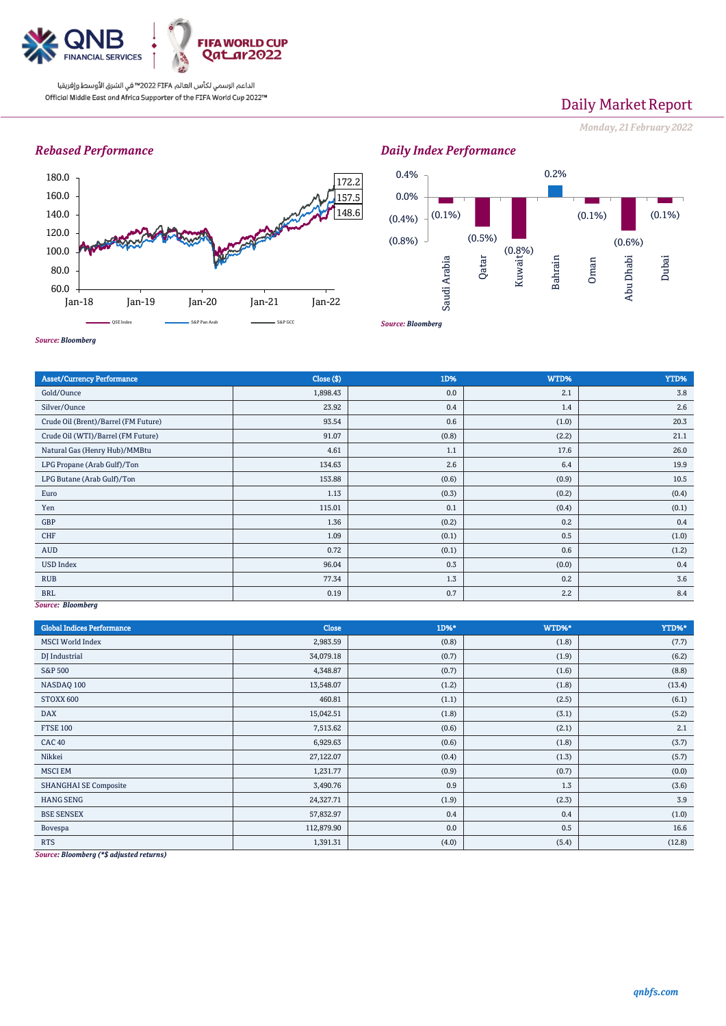

# Daily Market Report

*Monday, 21February 2022*

## *Rebased Performance*



(0.1%) (0.5%) (0.8%) Kuwait 0.2% (0.1%) (0.6%)  $(0.1\%)$ (0.8%) (0.4%) 0.0% 0.4% Saudi Arabia Qatar Bahrain Oman Abu Dhabi Dubai

*Daily Index Performance*

*Source: Bloomberg*

*Source: Bloomberg*

| <b>Asset/Currency Performance</b>    | Close ( \$) | 1D%   | WTD%  | YTD%  |
|--------------------------------------|-------------|-------|-------|-------|
| Gold/Ounce                           | 1,898.43    | 0.0   | 2.1   | 3.8   |
| Silver/Ounce                         | 23.92       | 0.4   | 1.4   | 2.6   |
| Crude Oil (Brent)/Barrel (FM Future) | 93.54       | 0.6   | (1.0) | 20.3  |
| Crude Oil (WTI)/Barrel (FM Future)   | 91.07       | (0.8) | (2.2) | 21.1  |
| Natural Gas (Henry Hub)/MMBtu        | 4.61        | 1.1   | 17.6  | 26.0  |
| LPG Propane (Arab Gulf)/Ton          | 134.63      | 2.6   | 6.4   | 19.9  |
| LPG Butane (Arab Gulf)/Ton           | 153.88      | (0.6) | (0.9) | 10.5  |
| Euro                                 | 1.13        | (0.3) | (0.2) | (0.4) |
| Yen                                  | 115.01      | 0.1   | (0.4) | (0.1) |
| GBP                                  | 1.36        | (0.2) | 0.2   | 0.4   |
| CHF                                  | 1.09        | (0.1) | 0.5   | (1.0) |
| AUD                                  | 0.72        | (0.1) | 0.6   | (1.2) |
| <b>USD Index</b>                     | 96.04       | 0.3   | (0.0) | 0.4   |
| <b>RUB</b>                           | 77.34       | 1.3   | 0.2   | 3.6   |
| <b>BRL</b>                           | 0.19        | 0.7   | 2.2   | 8.4   |
| Source: Bloomberg                    |             |       |       |       |

*Source: Bloomberg*

| <b>Global Indices Performance</b>                                                                                                                                | Close      | 1D%*  | WTD%* | YTD%*  |
|------------------------------------------------------------------------------------------------------------------------------------------------------------------|------------|-------|-------|--------|
| <b>MSCI World Index</b>                                                                                                                                          | 2,983.59   | (0.8) | (1.8) | (7.7)  |
| DJ Industrial                                                                                                                                                    | 34,079.18  | (0.7) | (1.9) | (6.2)  |
| <b>S&amp;P 500</b>                                                                                                                                               | 4,348.87   | (0.7) | (1.6) | (8.8)  |
| NASDAQ 100                                                                                                                                                       | 13,548.07  | (1.2) | (1.8) | (13.4) |
| STOXX 600                                                                                                                                                        | 460.81     | (1.1) | (2.5) | (6.1)  |
| <b>DAX</b>                                                                                                                                                       | 15,042.51  | (1.8) | (3.1) | (5.2)  |
| <b>FTSE 100</b>                                                                                                                                                  | 7,513.62   | (0.6) | (2.1) | 2.1    |
| <b>CAC 40</b>                                                                                                                                                    | 6,929.63   | (0.6) | (1.8) | (3.7)  |
| Nikkei                                                                                                                                                           | 27,122.07  | (0.4) | (1.3) | (5.7)  |
| <b>MSCI EM</b>                                                                                                                                                   | 1,231.77   | (0.9) | (0.7) | (0.0)  |
| <b>SHANGHAI SE Composite</b>                                                                                                                                     | 3,490.76   | 0.9   | 1.3   | (3.6)  |
| <b>HANG SENG</b>                                                                                                                                                 | 24,327.71  | (1.9) | (2.3) | 3.9    |
| <b>BSE SENSEX</b>                                                                                                                                                | 57,832.97  | 0.4   | 0.4   | (1.0)  |
| Bovespa                                                                                                                                                          | 112,879.90 | 0.0   | 0.5   | 16.6   |
| <b>RTS</b><br>$\mathbf{B}$ $\mathbf{I}$ $\mathbf{I}$ $\mathbf{A}$ $\mathbf{A}$ $\mathbf{B}$ $\mathbf{C}$ $\mathbf{I}$ $\mathbf{A}$ $\mathbf{A}$<br>$\sim$ $\sim$ | 1,391.31   | (4.0) | (5.4) | (12.8) |

*Source: Bloomberg (\*\$ adjusted returns)*